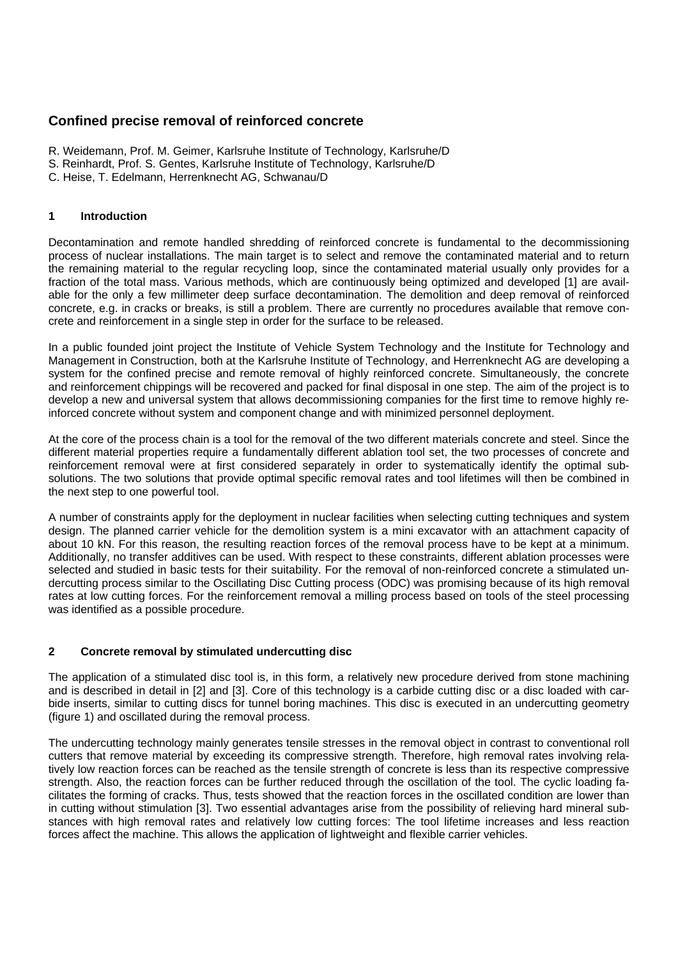# **Confined precise removal of reinforced concrete**

- R. Weidemann, Prof. M. Geimer, Karlsruhe Institute of Technology, Karlsruhe/D
- S. Reinhardt, Prof. S. Gentes, Karlsruhe Institute of Technology, Karlsruhe/D
- C. Heise, T. Edelmann, Herrenknecht AG, Schwanau/D

## **1 Introduction**

Decontamination and remote handled shredding of reinforced concrete is fundamental to the decommissioning process of nuclear installations. The main target is to select and remove the contaminated material and to return the remaining material to the regular recycling loop, since the contaminated material usually only provides for a fraction of the total mass. Various methods, which are continuously being optimized and developed [1] are available for the only a few millimeter deep surface decontamination. The demolition and deep removal of reinforced concrete, e.g. in cracks or breaks, is still a problem. There are currently no procedures available that remove concrete and reinforcement in a single step in order for the surface to be released.

In a public founded joint project the Institute of Vehicle System Technology and the Institute for Technology and Management in Construction, both at the Karlsruhe Institute of Technology, and Herrenknecht AG are developing a system for the confined precise and remote removal of highly reinforced concrete. Simultaneously, the concrete and reinforcement chippings will be recovered and packed for final disposal in one step. The aim of the project is to develop a new and universal system that allows decommissioning companies for the first time to remove highly reinforced concrete without system and component change and with minimized personnel deployment.

At the core of the process chain is a tool for the removal of the two different materials concrete and steel. Since the different material properties require a fundamentally different ablation tool set, the two processes of concrete and reinforcement removal were at first considered separately in order to systematically identify the optimal subsolutions. The two solutions that provide optimal specific removal rates and tool lifetimes will then be combined in the next step to one powerful tool.

A number of constraints apply for the deployment in nuclear facilities when selecting cutting techniques and system design. The planned carrier vehicle for the demolition system is a mini excavator with an attachment capacity of about 10 kN. For this reason, the resulting reaction forces of the removal process have to be kept at a minimum. Additionally, no transfer additives can be used. With respect to these constraints, different ablation processes were selected and studied in basic tests for their suitability. For the removal of non-reinforced concrete a stimulated undercutting process similar to the Oscillating Disc Cutting process (ODC) was promising because of its high removal rates at low cutting forces. For the reinforcement removal a milling process based on tools of the steel processing was identified as a possible procedure.

# **2 Concrete removal by stimulated undercutting disc**

The application of a stimulated disc tool is, in this form, a relatively new procedure derived from stone machining and is described in detail in [2] and [3]. Core of this technology is a carbide cutting disc or a disc loaded with carbide inserts, similar to cutting discs for tunnel boring machines. This disc is executed in an undercutting geometry (figure 1) and oscillated during the removal process.

The undercutting technology mainly generates tensile stresses in the removal object in contrast to conventional roll cutters that remove material by exceeding its compressive strength. Therefore, high removal rates involving relatively low reaction forces can be reached as the tensile strength of concrete is less than its respective compressive strength. Also, the reaction forces can be further reduced through the oscillation of the tool. The cyclic loading facilitates the forming of cracks. Thus, tests showed that the reaction forces in the oscillated condition are lower than in cutting without stimulation [3]. Two essential advantages arise from the possibility of relieving hard mineral substances with high removal rates and relatively low cutting forces: The tool lifetime increases and less reaction forces affect the machine. This allows the application of lightweight and flexible carrier vehicles.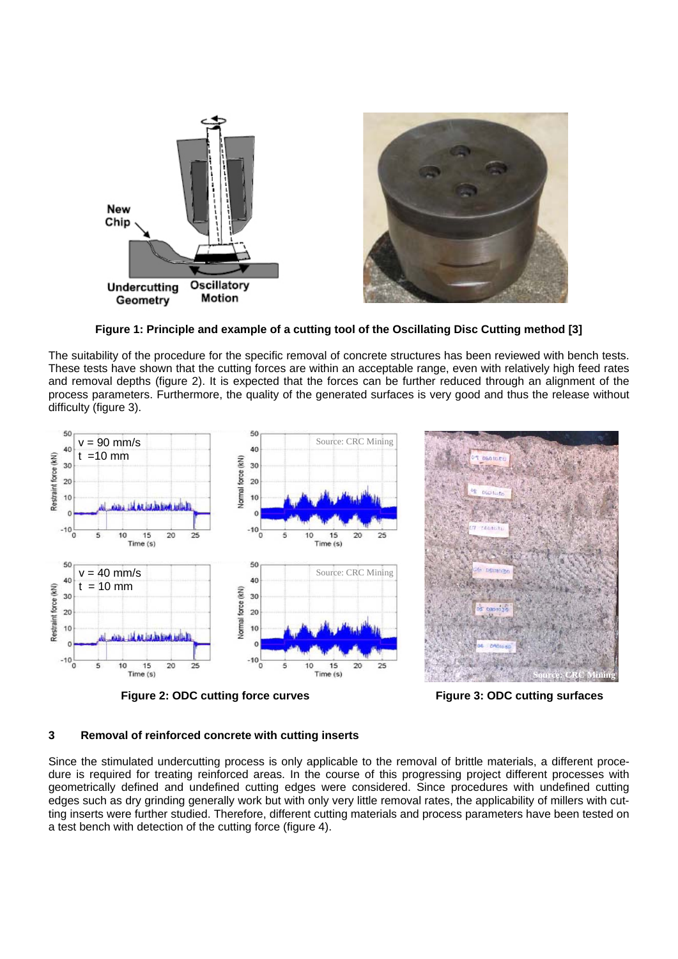

**Figure 1: Principle and example of a cutting tool of the Oscillating Disc Cutting method [3]** 

The suitability of the procedure for the specific removal of concrete structures has been reviewed with bench tests. These tests have shown that the cutting forces are within an acceptable range, even with relatively high feed rates and removal depths (figure 2). It is expected that the forces can be further reduced through an alignment of the process parameters. Furthermore, the quality of the generated surfaces is very good and thus the release without difficulty (figure 3).



**Figure 2: ODC cutting force curves The State Concrete Figure 3: ODC cutting surfaces** 

#### **3 Removal of reinforced concrete with cutting inserts**

Since the stimulated undercutting process is only applicable to the removal of brittle materials, a different procedure is required for treating reinforced areas. In the course of this progressing project different processes with geometrically defined and undefined cutting edges were considered. Since procedures with undefined cutting edges such as dry grinding generally work but with only very little removal rates, the applicability of millers with cutting inserts were further studied. Therefore, different cutting materials and process parameters have been tested on a test bench with detection of the cutting force (figure 4).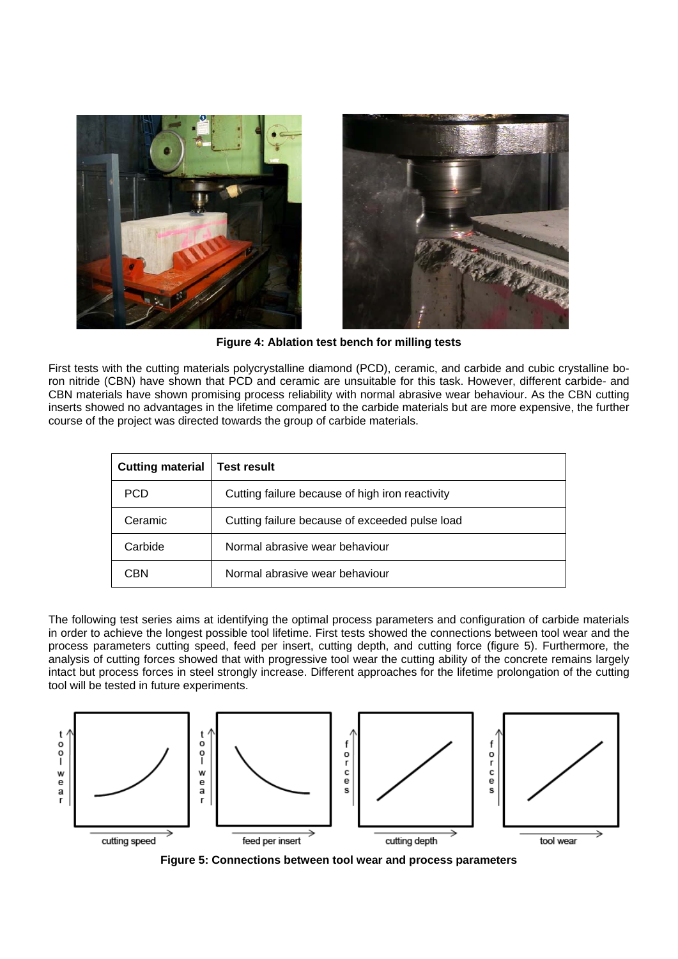

**Figure 4: Ablation test bench for milling tests** 

First tests with the cutting materials polycrystalline diamond (PCD), ceramic, and carbide and cubic crystalline boron nitride (CBN) have shown that PCD and ceramic are unsuitable for this task. However, different carbide- and CBN materials have shown promising process reliability with normal abrasive wear behaviour. As the CBN cutting inserts showed no advantages in the lifetime compared to the carbide materials but are more expensive, the further course of the project was directed towards the group of carbide materials.

| <b>Cutting material</b> | <b>Test result</b>                              |
|-------------------------|-------------------------------------------------|
| <b>PCD</b>              | Cutting failure because of high iron reactivity |
| Ceramic                 | Cutting failure because of exceeded pulse load  |
| Carbide                 | Normal abrasive wear behaviour                  |
| CBN                     | Normal abrasive wear behaviour                  |

The following test series aims at identifying the optimal process parameters and configuration of carbide materials in order to achieve the longest possible tool lifetime. First tests showed the connections between tool wear and the process parameters cutting speed, feed per insert, cutting depth, and cutting force (figure 5). Furthermore, the analysis of cutting forces showed that with progressive tool wear the cutting ability of the concrete remains largely intact but process forces in steel strongly increase. Different approaches for the lifetime prolongation of the cutting tool will be tested in future experiments.



**Figure 5: Connections between tool wear and process parameters**